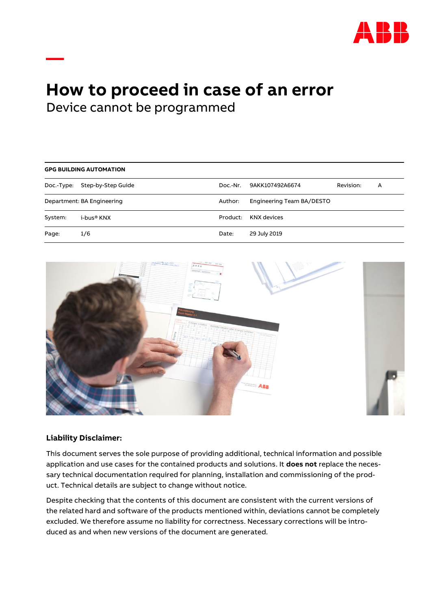

# **How to proceed in case of an error**

Device cannot be programmed

**—**

| <b>GPG BUILDING AUTOMATION</b> |                    |          |                           |           |   |  |
|--------------------------------|--------------------|----------|---------------------------|-----------|---|--|
| Doc.-Type:                     | Step-by-Step Guide | Doc.-Nr. | 9AKK107492A6674           | Revision: | A |  |
| Department: BA Engineering     |                    | Author:  | Engineering Team BA/DESTO |           |   |  |
| System:                        | i-bus® KNX         | Product: | KNX devices               |           |   |  |
| Page:                          | 1/6                | Date:    | 29 July 2019              |           |   |  |



# **Liability Disclaimer:**

This document serves the sole purpose of providing additional, technical information and possible application and use cases for the contained products and solutions. It **does not** replace the necessary technical documentation required for planning, installation and commissioning of the product. Technical details are subject to change without notice.

Despite checking that the contents of this document are consistent with the current versions of the related hard and software of the products mentioned within, deviations cannot be completely excluded. We therefore assume no liability for correctness. Necessary corrections will be introduced as and when new versions of the document are generated.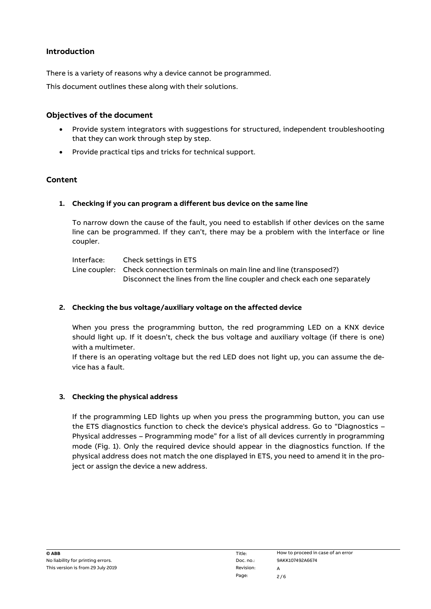# **Introduction**

There is a variety of reasons why a device cannot be programmed.

This document outlines these along with their solutions.

# **Objectives of the document**

- Provide system integrators with suggestions for structured, independent troubleshooting that they can work through step by step.
- Provide practical tips and tricks for technical support.

# **Content**

# **1. Checking if you can program a different bus device on the same line**

To narrow down the cause of the fault, you need to establish if other devices on the same line can be programmed. If they can't, there may be a problem with the interface or line coupler.

Interface: Check settings in ETS Line coupler: Check connection terminals on main line and line (transposed?) Disconnect the lines from the line coupler and check each one separately

# **2. Checking the bus voltage/auxiliary voltage on the affected device**

When you press the programming button, the red programming LED on a KNX device should light up. If it doesn't, check the bus voltage and auxiliary voltage (if there is one) with a multimeter.

If there is an operating voltage but the red LED does not light up, you can assume the device has a fault.

# **3. Checking the physical address**

If the programming LED lights up when you press the programming button, you can use the ETS diagnostics function to check the device's physical address. Go to "Diagnostics – Physical addresses – Programming mode" for a list of all devices currently in programming mode (Fig. 1). Only the required device should appear in the diagnostics function. If the physical address does not match the one displayed in ETS, you need to amend it in the project or assign the device a new address.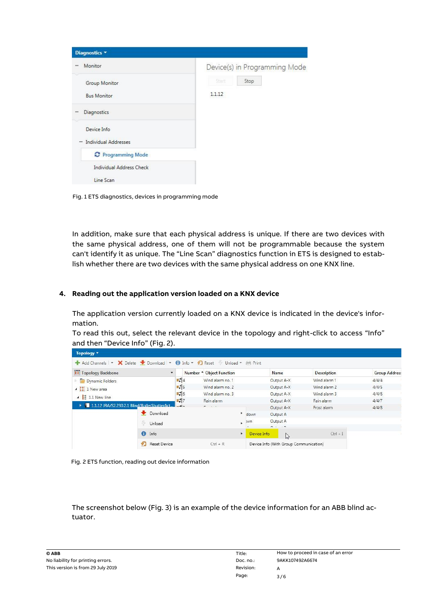| Diagnostics <b>v</b>                               |                               |
|----------------------------------------------------|-------------------------------|
| Monitor                                            | Device(s) in Programming Mode |
| Group Monitor<br><b>Bus Monitor</b><br>Diagnostics | 안프市<br>Stop<br>1.1.12         |
| Device Info<br><b>Individual Addresses</b>         |                               |
| C Programming Mode                                 |                               |
| <b>Individual Address Check</b>                    |                               |
| Line Scan                                          |                               |

Fig. 1 ETS diagnostics, devices in programming mode

In addition, make sure that each physical address is unique. If there are two devices with the same physical address, one of them will not be programmable because the system can't identify it as unique. The "Line Scan" diagnostics function in ETS is designed to establish whether there are two devices with the same physical address on one KNX line.

# **4. Reading out the application version loaded on a KNX device**

The application version currently loaded on a KNX device is indicated in the device's information.

To read this out, select the relevant device in the topology and right-click to access "Info" and then "Device Info" (Fig. 2).

| <b>III</b> Topology Backbone                 |    | $\pmb{\mathrm{v}}$  |                  | Number <sup>*</sup> Object Function |    |             | Name                                   | <b>Description</b> | <b>Group Addres:</b> |
|----------------------------------------------|----|---------------------|------------------|-------------------------------------|----|-------------|----------------------------------------|--------------------|----------------------|
| Dynamic Folders                              |    |                     | $\mathbb{Z}$ 4   | Wind alarm no. 1                    |    |             | Output A-X                             | Wind alarm 1       | 4/4/4                |
| $\triangleq$ $\frac{1}{16}$ 1 New area       |    |                     | ■ 2 5            | Wind alarm no. 2                    |    |             | Output A-X                             | Wind alarm 2       | 4/4/5                |
| $\triangle$ $\triangle$ 1.1 New line         |    |                     | $\mathbb{R}$ 6   | Wind alarm no. 3                    |    |             | Output A-X                             | Wind alarm 3       | 4/4/6                |
|                                              |    |                     | $\blacksquare$ 7 | Rain alarm                          |    |             | Output A-X                             | Rain alarm         | 4/4/7                |
| 1.1.12 JRA/S2.230.2.1 Blind/RollerShutterAct |    |                     |                  | $ -$                                |    |             | Output A-X                             | Frost alarm        | 4/4/8                |
|                                              |    | Download            |                  |                                     | ×  | down        | Output A                               |                    |                      |
|                                              | 49 | Unload              |                  |                                     |    | <b>JWN</b>  | Output A                               |                    |                      |
|                                              |    |                     |                  |                                     |    |             | $\sim$                                 |                    |                      |
|                                              |    | <b>f</b> Info       |                  |                                     | ×. | Device Info | $\mathbb{Z}$                           | $CtrI + I$         |                      |
|                                              | v. | <b>Reset Device</b> |                  | $Ctrl + R$                          |    |             | Device Info (With Group Communication) |                    |                      |



The screenshot below (Fig. 3) is an example of the device information for an ABB blind actuator.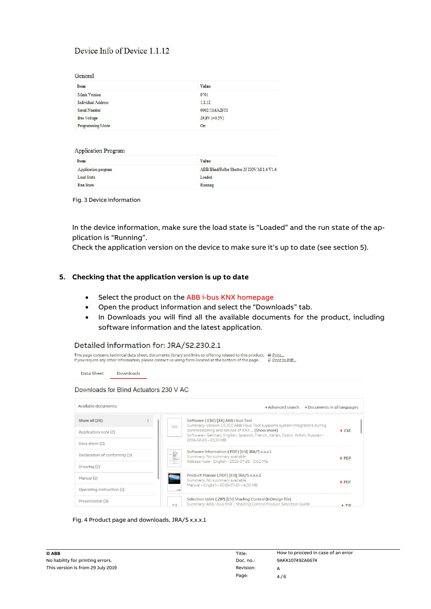# Device Info of Device 1.1.12

| General |  |
|---------|--|

| __________         |                    |  |
|--------------------|--------------------|--|
| Item               | Value              |  |
| Mask Version       | 0701               |  |
| Individual Address | 1.1.12             |  |
| Serial Number      | 0002:7A6A2F51      |  |
| <b>Bus Voltage</b> | $29,8V (\pm 0.5V)$ |  |
| Programming Mode   | On                 |  |
|                    |                    |  |

| <b>Application Program</b> |                                             |
|----------------------------|---------------------------------------------|
| Item                       | Value                                       |
| Application program        | ABB Blind/Roller Shutter 2f 230V M/1.4 V1.4 |
| Load State                 | Loaded                                      |
| Run State                  | Running                                     |

#### Fig. 3 Device information

In the device information, make sure the load state is "Loaded" and the run state of the application is "Running".

Check the application version on the device to make sure it's up to date (see section 5).

### **5. Checking that the application version is up to date**

- Select the product on th[e ABB i-bus KNX homepage](https://new.abb.com/low-voltage/products/building-automation/product-range/abb-i-bus-knx)
- Open the product information and select the "Downloads" tab.
- In Downloads you will find all the available documents for the product, including software information and the latest application.

| Detailed information for: JRA/S2.230.2.1 |  |     |                                                                                                                                                                                                                                                 |                 |
|------------------------------------------|--|-----|-------------------------------------------------------------------------------------------------------------------------------------------------------------------------------------------------------------------------------------------------|-----------------|
|                                          |  |     | This page contains technical data sheet, documents library and links to offering related to this product. $\Box$ Print<br>If you require any other information, please contact us using form located at the bottom of the page.<br>Print to Pdf |                 |
| Data Sheet<br>Downloads                  |  |     |                                                                                                                                                                                                                                                 |                 |
| Downloads for Blind Actuators 230 V AC   |  |     |                                                                                                                                                                                                                                                 |                 |
| Available documents:                     |  |     | → Advanced search → Documents in all languages                                                                                                                                                                                                  |                 |
| Show all (20)                            |  | EXE | Software (.EXE) [XX] ABB i-bus Tool<br>Summary: Version 1.9.37.0 ABB i-bus Tool supports system integrators during                                                                                                                              |                 |
| Application note (2)                     |  |     | $E$ EXE                                                                                                                                                                                                                                         |                 |
| Data sheet (2)                           |  |     | 2019-02-25 - 23.33 MB                                                                                                                                                                                                                           |                 |
| Declaration of conformity (3)            |  | i   | Software Information (.PDF) [EN] JRA/S x.x.x.1<br>Summary: No summary available                                                                                                                                                                 | $\triangle$ PDF |
| Drawing (2)                              |  |     | Release note - English - 2018-07-26 - 0,02 MB                                                                                                                                                                                                   |                 |
| Manual (1)                               |  |     | Product Manual (.PDF) [EN] JRA/S x.x.x.1<br>Summary: No summary available                                                                                                                                                                       | $\triangle$ PDF |
| Operating instruction (1)                |  |     | Manual - English - 2018-07-25 - 4,03 MB                                                                                                                                                                                                         |                 |
| Presentation (3)                         |  | 7 P | Selection table (.ZIP) [EN] Shading Control (InDesign file)<br>Summary: ABB i-bus KNX - Shading Control Product Selection Guide                                                                                                                 | $+7IP$          |

# Fig. 4 Product page and downloads, JRA/S x.x.x.1

| © ABB                             | Title:    | How to proceed in case of an error |
|-----------------------------------|-----------|------------------------------------|
| No liability for printing errors. | Doc. no.: | 9AKK107492A6674                    |
| This version is from 29 July 2019 | Revision: |                                    |
|                                   | Page:     | 4/6                                |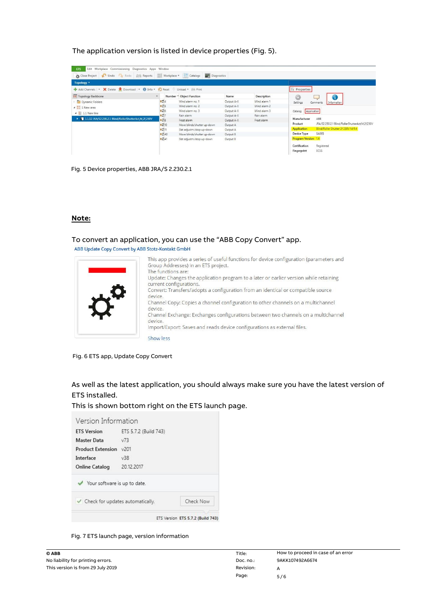# The application version is listed in device properties (Fig. 5).

| Undo Redo Reports Workplace TCatalogs 22 Diagnostics<br><b>Close Project</b>     |                  |                             |            |              |                                                            |
|----------------------------------------------------------------------------------|------------------|-----------------------------|------------|--------------|------------------------------------------------------------|
| Topology *                                                                       |                  |                             |            |              |                                                            |
| + Add Channels   * X Delete + Download   * 1 Info * 1 Reset 4 Unload * (m) Print |                  |                             |            |              | <b>EL Properties</b>                                       |
| <b>III</b> Topology Backbone                                                     | $\cdot$          | Number * Object Function    | Name       | Description  | 0                                                          |
| Dynamic Folders                                                                  | $\frac{1}{2}$ 4  | Wind alarm no. 1            | Output A-X | Wind alarm 1 | Settings<br>Information<br>Comments                        |
| ▲ H 1 New area                                                                   | 125              | Wind alarm no. 2            | Output A-X | Wind alarm 2 |                                                            |
| $\angle$ E 1.1 New line                                                          | 보기6              | Wind alarm no. 3            | Output A-X | Wind alarm 3 | Application<br>Catalog                                     |
|                                                                                  | <b>uti</b> 7     | Rain alarm                  | Output A-X | Rain alarm   |                                                            |
| > 1.1.12 JRA/S2.230.2.1 Blind/RollerShutterAct,M.2f.230V                         | $\mathbb{R}^2$ 8 | Frost alarm                 | Output A-X | Frost alarm  | ABB<br>Manufacturer                                        |
|                                                                                  | $B = 10$         | Move blinds/shutter up-down | Output A   |              | JRA/S2.230.2.1 Blind/RollerShutterAct.M.2f.230V<br>Product |
|                                                                                  | $n = 11$         | Slat adjustm./stop up-down  | Output A   |              | Blind/Roller Shutter 2f 230V M/1.4<br><b>Application</b>   |
|                                                                                  | 8240             | Move blinds/shutter up-down | Output B   |              | Device Type<br><b>SA065</b>                                |
|                                                                                  | $\frac{1}{2}$ 41 | Slat adjustm/stop up-down   | Output B   |              | <b>Program Version 1.4</b>                                 |
|                                                                                  |                  |                             |            |              | Registered<br>Certification                                |
|                                                                                  |                  |                             |            |              | <b>EC55</b><br>Fingerprint                                 |

Fig. 5 Device properties, ABB JRA/S 2.230.2.1

#### **Note:**

#### To convert an application, you can use the "ABB Copy Convert" app.

ABB Update Copy Convert by ABB Stotz-Kontakt GmbH

This app provides a series of useful functions for device configuration (parameters and Group Addresses) in an ETS project. The functions are: Update: Changes the application program to a later or earlier version while retaining current configurations. Convert: Transfers/adopts a configuration from an identical or compatible source device. Channel Copy: Copies a channel configuration to other channels on a multichannel device. Channel Exchange: Exchanges configurations between two channels on a multichannel device. Import/Export: Saves and reads device configurations as external files. Show less

Fig. 6 ETS app, Update Copy Convert

As well as the latest application, you should always make sure you have the latest version of ETS installed.

This is shown bottom right on the ETS launch page.



Fig. 7 ETS launch page, version information

| © ABB                             | Title:    | How to proceed in case of an error |
|-----------------------------------|-----------|------------------------------------|
| No liability for printing errors. | Doc. no.: | 9AKK107492A6674                    |
| This version is from 29 July 2019 | Revision: |                                    |
|                                   | Page:     | 5/6                                |